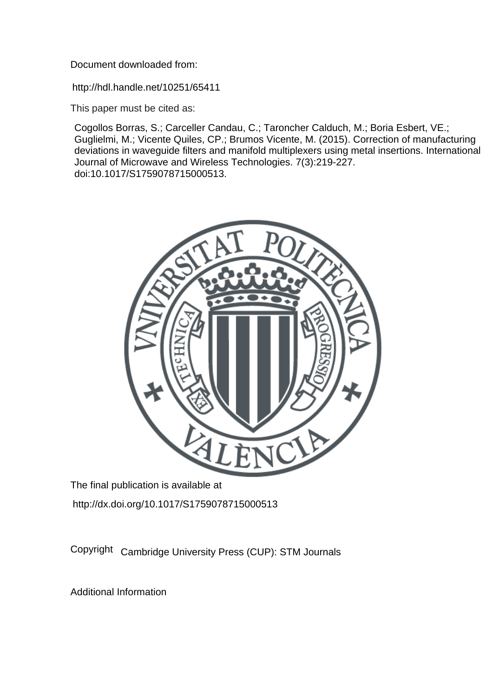Document downloaded from:

http://hdl.handle.net/10251/65411

This paper must be cited as:

Cogollos Borras, S.; Carceller Candau, C.; Taroncher Calduch, M.; Boria Esbert, VE.; Guglielmi, M.; Vicente Quiles, CP.; Brumos Vicente, M. (2015). Correction of manufacturing deviations in waveguide filters and manifold multiplexers using metal insertions. International Journal of Microwave and Wireless Technologies. 7(3):219-227. doi:10.1017/S1759078715000513.



The final publication is available at http://dx.doi.org/10.1017/S1759078715000513

Copyright Cambridge University Press (CUP): STM Journals

Additional Information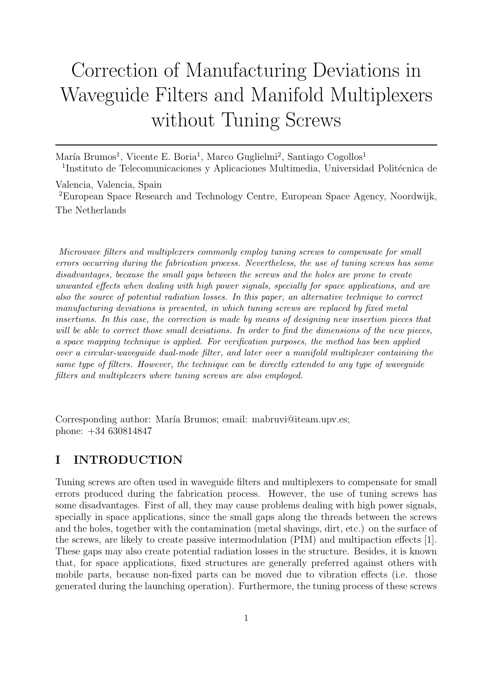# Correction of Manufacturing Deviations in Waveguide Filters and Manifold Multiplexers without Tuning Screws

María Brumos<sup>1</sup>, Vicente E. Boria<sup>1</sup>, Marco Guglielmi<sup>2</sup>, Santiago Cogollos<sup>1</sup>

<sup>1</sup>Instituto de Telecomunicaciones y Aplicaciones Multimedia, Universidad Politécnica de Valencia, Valencia, Spain

<sup>2</sup>European Space Research and Technology Centre, European Space Agency, Noordwijk, The Netherlands

Microwave filters and multiplexers commonly employ tuning screws to compensate for small errors occurring during the fabrication process. Nevertheless, the use of tuning screws has some disadvantages, because the small gaps between the screws and the holes are prone to create unwanted effects when dealing with high power signals, specially for space applications, and are also the source of potential radiation losses. In this paper, an alternative technique to correct manufacturing deviations is presented, in which tuning screws are replaced by fixed metal insertions. In this case, the correction is made by means of designing new insertion pieces that will be able to correct those small deviations. In order to find the dimensions of the new pieces, a space mapping technique is applied. For verification purposes, the method has been applied over a circular-waveguide dual-mode filter, and later over a manifold multiplexer containing the same type of filters. However, the technique can be directly extended to any type of waveguide filters and multiplexers where tuning screws are also employed.

Corresponding author: María Brumos; email: mabruvi@iteam.upv.es; phone: +34 630814847

# I INTRODUCTION

Tuning screws are often used in waveguide filters and multiplexers to compensate for small errors produced during the fabrication process. However, the use of tuning screws has some disadvantages. First of all, they may cause problems dealing with high power signals, specially in space applications, since the small gaps along the threads between the screws and the holes, together with the contamination (metal shavings, dirt, etc.) on the surface of the screws, are likely to create passive intermodulation (PIM) and multipaction effects [1]. These gaps may also create potential radiation losses in the structure. Besides, it is known that, for space applications, fixed structures are generally preferred against others with mobile parts, because non-fixed parts can be moved due to vibration effects (i.e. those generated during the launching operation). Furthermore, the tuning process of these screws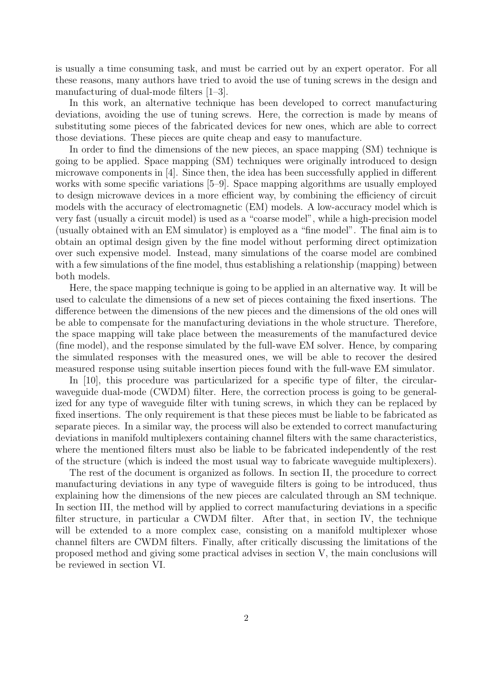is usually a time consuming task, and must be carried out by an expert operator. For all these reasons, many authors have tried to avoid the use of tuning screws in the design and manufacturing of dual-mode filters [1–3].

In this work, an alternative technique has been developed to correct manufacturing deviations, avoiding the use of tuning screws. Here, the correction is made by means of substituting some pieces of the fabricated devices for new ones, which are able to correct those deviations. These pieces are quite cheap and easy to manufacture.

In order to find the dimensions of the new pieces, an space mapping (SM) technique is going to be applied. Space mapping (SM) techniques were originally introduced to design microwave components in [4]. Since then, the idea has been successfully applied in different works with some specific variations [5–9]. Space mapping algorithms are usually employed to design microwave devices in a more efficient way, by combining the efficiency of circuit models with the accuracy of electromagnetic (EM) models. A low-accuracy model which is very fast (usually a circuit model) is used as a "coarse model", while a high-precision model (usually obtained with an EM simulator) is employed as a "fine model". The final aim is to obtain an optimal design given by the fine model without performing direct optimization over such expensive model. Instead, many simulations of the coarse model are combined with a few simulations of the fine model, thus establishing a relationship (mapping) between both models.

Here, the space mapping technique is going to be applied in an alternative way. It will be used to calculate the dimensions of a new set of pieces containing the fixed insertions. The difference between the dimensions of the new pieces and the dimensions of the old ones will be able to compensate for the manufacturing deviations in the whole structure. Therefore, the space mapping will take place between the measurements of the manufactured device (fine model), and the response simulated by the full-wave EM solver. Hence, by comparing the simulated responses with the measured ones, we will be able to recover the desired measured response using suitable insertion pieces found with the full-wave EM simulator.

In [10], this procedure was particularized for a specific type of filter, the circularwaveguide dual-mode (CWDM) filter. Here, the correction process is going to be generalized for any type of waveguide filter with tuning screws, in which they can be replaced by fixed insertions. The only requirement is that these pieces must be liable to be fabricated as separate pieces. In a similar way, the process will also be extended to correct manufacturing deviations in manifold multiplexers containing channel filters with the same characteristics, where the mentioned filters must also be liable to be fabricated independently of the rest of the structure (which is indeed the most usual way to fabricate waveguide multiplexers).

The rest of the document is organized as follows. In section II, the procedure to correct manufacturing deviations in any type of waveguide filters is going to be introduced, thus explaining how the dimensions of the new pieces are calculated through an SM technique. In section III, the method will by applied to correct manufacturing deviations in a specific filter structure, in particular a CWDM filter. After that, in section IV, the technique will be extended to a more complex case, consisting on a manifold multiplexer whose channel filters are CWDM filters. Finally, after critically discussing the limitations of the proposed method and giving some practical advises in section V, the main conclusions will be reviewed in section VI.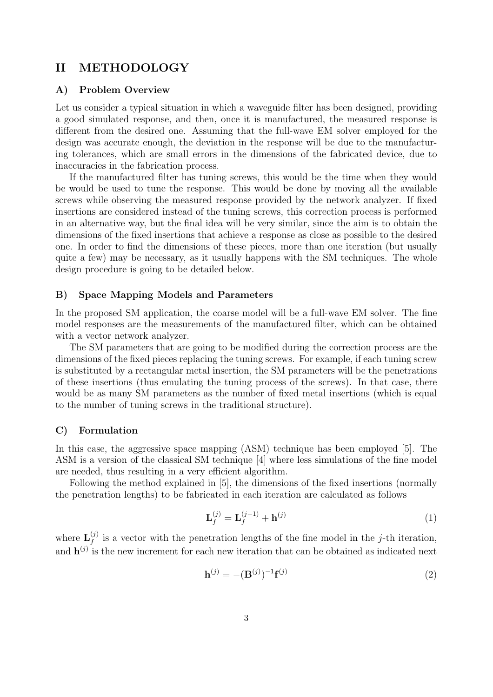# II METHODOLOGY

#### A) Problem Overview

Let us consider a typical situation in which a waveguide filter has been designed, providing a good simulated response, and then, once it is manufactured, the measured response is different from the desired one. Assuming that the full-wave EM solver employed for the design was accurate enough, the deviation in the response will be due to the manufacturing tolerances, which are small errors in the dimensions of the fabricated device, due to inaccuracies in the fabrication process.

If the manufactured filter has tuning screws, this would be the time when they would be would be used to tune the response. This would be done by moving all the available screws while observing the measured response provided by the network analyzer. If fixed insertions are considered instead of the tuning screws, this correction process is performed in an alternative way, but the final idea will be very similar, since the aim is to obtain the dimensions of the fixed insertions that achieve a response as close as possible to the desired one. In order to find the dimensions of these pieces, more than one iteration (but usually quite a few) may be necessary, as it usually happens with the SM techniques. The whole design procedure is going to be detailed below.

#### B) Space Mapping Models and Parameters

In the proposed SM application, the coarse model will be a full-wave EM solver. The fine model responses are the measurements of the manufactured filter, which can be obtained with a vector network analyzer.

The SM parameters that are going to be modified during the correction process are the dimensions of the fixed pieces replacing the tuning screws. For example, if each tuning screw is substituted by a rectangular metal insertion, the SM parameters will be the penetrations of these insertions (thus emulating the tuning process of the screws). In that case, there would be as many SM parameters as the number of fixed metal insertions (which is equal to the number of tuning screws in the traditional structure).

#### C) Formulation

In this case, the aggressive space mapping (ASM) technique has been employed [5]. The ASM is a version of the classical SM technique [4] where less simulations of the fine model are needed, thus resulting in a very efficient algorithm.

Following the method explained in [5], the dimensions of the fixed insertions (normally the penetration lengths) to be fabricated in each iteration are calculated as follows

$$
\mathbf{L}_f^{(j)} = \mathbf{L}_f^{(j-1)} + \mathbf{h}^{(j)}
$$
 (1)

where  $\mathbf{L}_f^{(j)}$  $f_f^{(j)}$  is a vector with the penetration lengths of the fine model in the j-th iteration, and  $\mathbf{h}^{(j)}$  is the new increment for each new iteration that can be obtained as indicated next

$$
\mathbf{h}^{(j)} = -(\mathbf{B}^{(j)})^{-1} \mathbf{f}^{(j)}
$$
 (2)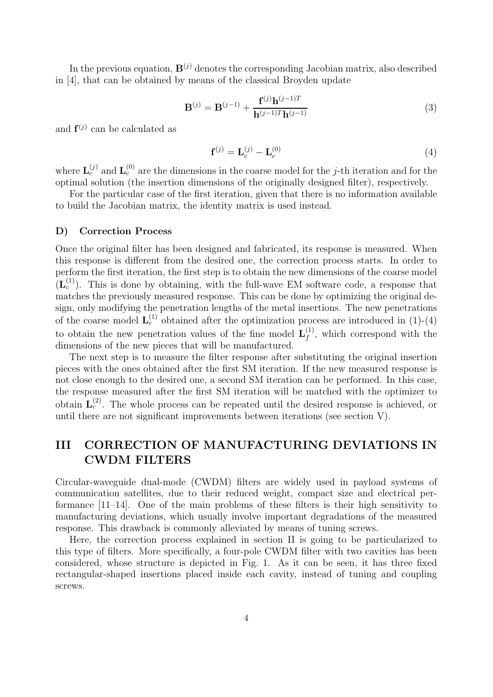In the previous equation,  $\mathbf{B}^{(j)}$  denotes the corresponding Jacobian matrix, also described in [4], that can be obtained by means of the classical Broyden update

$$
\mathbf{B}^{(j)} = \mathbf{B}^{(j-1)} + \frac{\mathbf{f}^{(j)} \mathbf{h}^{(j-1)T}}{\mathbf{h}^{(j-1)T} \mathbf{h}^{(j-1)}}
$$
(3)

and  $f^{(j)}$  can be calculated as

$$
\mathbf{f}^{(j)} = \mathbf{L}_c^{(j)} - \mathbf{L}_c^{(0)} \tag{4}
$$

where  $\mathbf{L}_c^{(j)}$  and  $\mathbf{L}_c^{(0)}$  are the dimensions in the coarse model for the j-th iteration and for the optimal solution (the insertion dimensions of the originally designed filter), respectively.

For the particular case of the first iteration, given that there is no information available to build the Jacobian matrix, the identity matrix is used instead.

#### D) Correction Process

Once the original filter has been designed and fabricated, its response is measured. When this response is different from the desired one, the correction process starts. In order to perform the first iteration, the first step is to obtain the new dimensions of the coarse model  $(L_c<sup>(1)</sup>)$ . This is done by obtaining, with the full-wave EM software code, a response that matches the previously measured response. This can be done by optimizing the original design, only modifying the penetration lengths of the metal insertions. The new penetrations of the coarse model  $\mathbf{L}_c^{(1)}$  obtained after the optimization process are introduced in (1)-(4) to obtain the new penetration values of the fine model  $L_f^{(1)}$  $f_f^{(1)}$ , which correspond with the dimensions of the new pieces that will be manufactured.

The next step is to measure the filter response after substituting the original insertion pieces with the ones obtained after the first SM iteration. If the new measured response is not close enough to the desired one, a second SM iteration can be performed. In this case, the response measured after the first SM iteration will be matched with the optimizer to obtain  $\mathbf{L}_c^{(2)}$ . The whole process can be repeated until the desired response is achieved, or until there are not significant improvements between iterations (see section V).

# III CORRECTION OF MANUFACTURING DEVIATIONS IN CWDM FILTERS

Circular-waveguide dual-mode (CWDM) filters are widely used in payload systems of communication satellites, due to their reduced weight, compact size and electrical performance [11–14]. One of the main problems of these filters is their high sensitivity to manufacturing deviations, which usually involve important degradations of the measured response. This drawback is commonly alleviated by means of tuning screws.

Here, the correction process explained in section II is going to be particularized to this type of filters. More specifically, a four-pole CWDM filter with two cavities has been considered, whose structure is depicted in Fig. 1. As it can be seen, it has three fixed rectangular-shaped insertions placed inside each cavity, instead of tuning and coupling screws.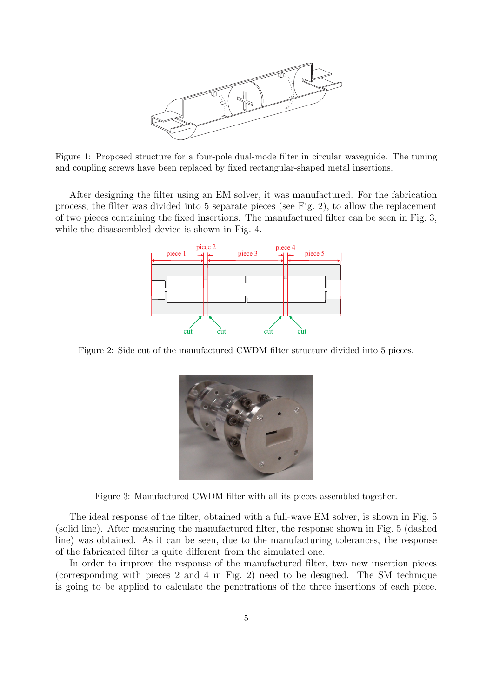

Figure 1: Proposed structure for a four-pole dual-mode filter in circular waveguide. The tuning and coupling screws have been replaced by fixed rectangular-shaped metal insertions.

After designing the filter using an EM solver, it was manufactured. For the fabrication process, the filter was divided into 5 separate pieces (see Fig. 2), to allow the replacement of two pieces containing the fixed insertions. The manufactured filter can be seen in Fig. 3, while the disassembled device is shown in Fig. 4.



Figure 2: Side cut of the manufactured CWDM filter structure divided into 5 pieces.



Figure 3: Manufactured CWDM filter with all its pieces assembled together.

The ideal response of the filter, obtained with a full-wave EM solver, is shown in Fig. 5 (solid line). After measuring the manufactured filter, the response shown in Fig. 5 (dashed line) was obtained. As it can be seen, due to the manufacturing tolerances, the response of the fabricated filter is quite different from the simulated one.

In order to improve the response of the manufactured filter, two new insertion pieces (corresponding with pieces 2 and 4 in Fig. 2) need to be designed. The SM technique is going to be applied to calculate the penetrations of the three insertions of each piece.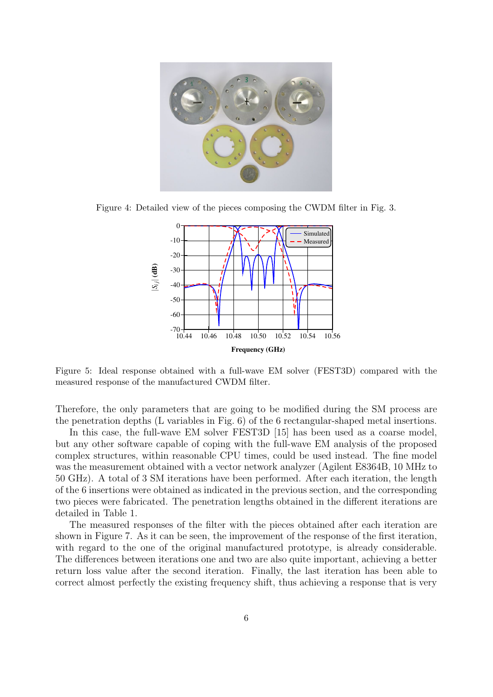

Figure 4: Detailed view of the pieces composing the CWDM filter in Fig. 3.



Figure 5: Ideal response obtained with a full-wave EM solver (FEST3D) compared with the measured response of the manufactured CWDM filter.

Therefore, the only parameters that are going to be modified during the SM process are the penetration depths (L variables in Fig. 6) of the 6 rectangular-shaped metal insertions.

In this case, the full-wave EM solver FEST3D [15] has been used as a coarse model, but any other software capable of coping with the full-wave EM analysis of the proposed complex structures, within reasonable CPU times, could be used instead. The fine model was the measurement obtained with a vector network analyzer (Agilent E8364B, 10 MHz to 50 GHz). A total of 3 SM iterations have been performed. After each iteration, the length of the 6 insertions were obtained as indicated in the previous section, and the corresponding two pieces were fabricated. The penetration lengths obtained in the different iterations are detailed in Table 1.

The measured responses of the filter with the pieces obtained after each iteration are shown in Figure 7. As it can be seen, the improvement of the response of the first iteration, with regard to the one of the original manufactured prototype, is already considerable. The differences between iterations one and two are also quite important, achieving a better return loss value after the second iteration. Finally, the last iteration has been able to correct almost perfectly the existing frequency shift, thus achieving a response that is very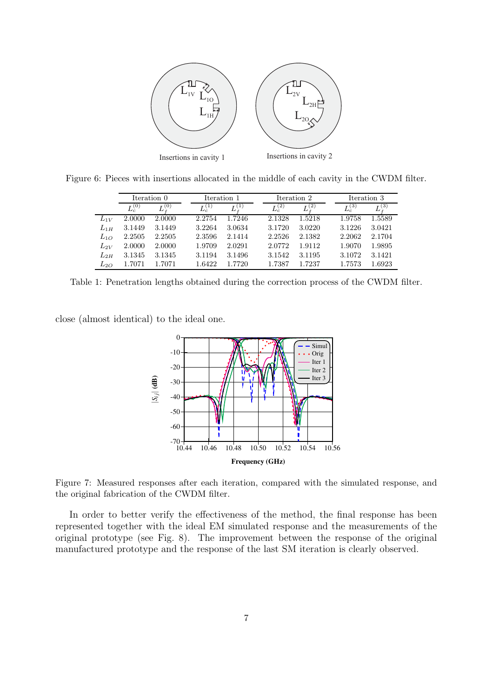

Figure 6: Pieces with insertions allocated in the middle of each cavity in the CWDM filter.

|          | Iteration 0 |                    |             | Iteration 1 |  | Iteration 2            |           |  | Iteration 3            |                        |
|----------|-------------|--------------------|-------------|-------------|--|------------------------|-----------|--|------------------------|------------------------|
|          | $L_c^{(0)}$ | $\mathbf{r}^{(0)}$ | $L_c^{(1)}$ | r(1)        |  | $\overline{L_c^{(2)}}$ | $L^{(2)}$ |  | $\overline{L_c^{(3)}}$ | $\overline{L}^{(3)}_x$ |
| $L_{1V}$ | 2.0000      | 2.0000             | 2.2754      | 1.7246      |  | 2.1328                 | 1.5218    |  | 1.9758                 | 1.5589                 |
| $L_{1H}$ | 3.1449      | 3.1449             | 3.2264      | 3.0634      |  | 3.1720                 | 3.0220    |  | 3.1226                 | 3.0421                 |
| $L_{1O}$ | 2.2505      | 2.2505             | 2.3596      | 2.1414      |  | 2.2526                 | 2.1382    |  | 2.2062                 | 2.1704                 |
| $L_{2V}$ | 2.0000      | 2.0000             | 1.9709      | 2.0291      |  | 2.0772                 | 1.9112    |  | 1.9070                 | 1.9895                 |
| $L_{2H}$ | 3.1345      | 3.1345             | 3.1194      | 3.1496      |  | 3.1542                 | 3.1195    |  | 3.1072                 | 3.1421                 |
| $L_{2O}$ | 1.7071      | 1.7071             | 1.6422      | 1.7720      |  | 1.7387                 | 1.7237    |  | 1.7573                 | 1.6923                 |

Table 1: Penetration lengths obtained during the correction process of the CWDM filter.

close (almost identical) to the ideal one.



Figure 7: Measured responses after each iteration, compared with the simulated response, and the original fabrication of the CWDM filter.

In order to better verify the effectiveness of the method, the final response has been represented together with the ideal EM simulated response and the measurements of the original prototype (see Fig. 8). The improvement between the response of the original manufactured prototype and the response of the last SM iteration is clearly observed.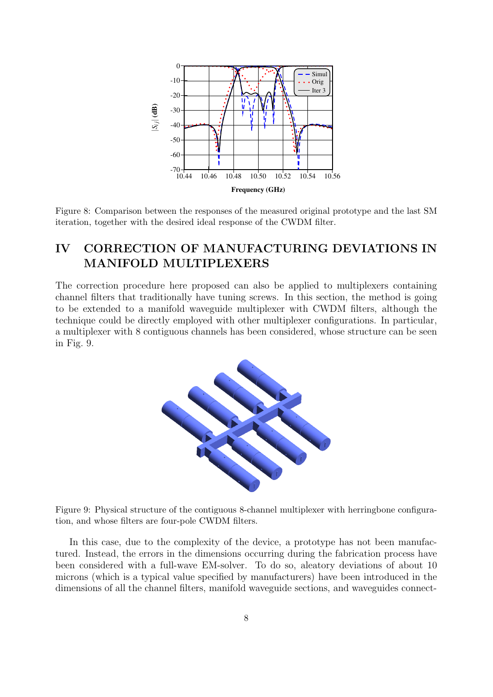

Figure 8: Comparison between the responses of the measured original prototype and the last SM iteration, together with the desired ideal response of the CWDM filter.

# IV CORRECTION OF MANUFACTURING DEVIATIONS IN MANIFOLD MULTIPLEXERS

The correction procedure here proposed can also be applied to multiplexers containing channel filters that traditionally have tuning screws. In this section, the method is going to be extended to a manifold waveguide multiplexer with CWDM filters, although the technique could be directly employed with other multiplexer configurations. In particular, a multiplexer with 8 contiguous channels has been considered, whose structure can be seen in Fig. 9.



Figure 9: Physical structure of the contiguous 8-channel multiplexer with herringbone configuration, and whose filters are four-pole CWDM filters.

In this case, due to the complexity of the device, a prototype has not been manufactured. Instead, the errors in the dimensions occurring during the fabrication process have been considered with a full-wave EM-solver. To do so, aleatory deviations of about 10 microns (which is a typical value specified by manufacturers) have been introduced in the dimensions of all the channel filters, manifold waveguide sections, and waveguides connect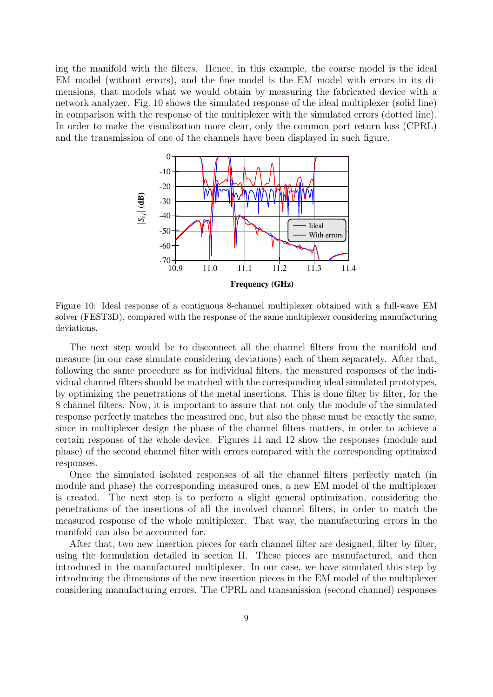ing the manifold with the filters. Hence, in this example, the coarse model is the ideal EM model (without errors), and the fine model is the EM model with errors in its dimensions, that models what we would obtain by measuring the fabricated device with a network analyzer. Fig. 10 shows the simulated response of the ideal multiplexer (solid line) in comparison with the response of the multiplexer with the simulated errors (dotted line). In order to make the visualization more clear, only the common port return loss (CPRL) and the transmission of one of the channels have been displayed in such figure.



Figure 10: Ideal response of a contiguous 8-channel multiplexer obtained with a full-wave EM solver (FEST3D), compared with the response of the same multiplexer considering manufacturing deviations.

The next step would be to disconnect all the channel filters from the manifold and measure (in our case simulate considering deviations) each of them separately. After that, following the same procedure as for individual filters, the measured responses of the individual channel filters should be matched with the corresponding ideal simulated prototypes, by optimizing the penetrations of the metal insertions. This is done filter by filter, for the 8 channel filters. Now, it is important to assure that not only the module of the simulated response perfectly matches the measured one, but also the phase must be exactly the same, since in multiplexer design the phase of the channel filters matters, in order to achieve a certain response of the whole device. Figures 11 and 12 show the responses (module and phase) of the second channel filter with errors compared with the corresponding optimized responses.

Once the simulated isolated responses of all the channel filters perfectly match (in module and phase) the corresponding measured ones, a new EM model of the multiplexer is created. The next step is to perform a slight general optimization, considering the penetrations of the insertions of all the involved channel filters, in order to match the measured response of the whole multiplexer. That way, the manufacturing errors in the manifold can also be accounted for.

After that, two new insertion pieces for each channel filter are designed, filter by filter, using the formulation detailed in section II. These pieces are manufactured, and then introduced in the manufactured multiplexer. In our case, we have simulated this step by introducing the dimensions of the new insertion pieces in the EM model of the multiplexer considering manufacturing errors. The CPRL and transmission (second channel) responses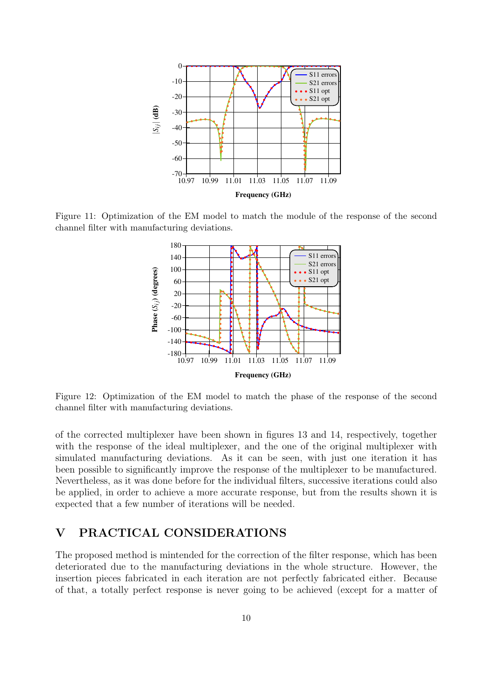

Figure 11: Optimization of the EM model to match the module of the response of the second channel filter with manufacturing deviations.



Figure 12: Optimization of the EM model to match the phase of the response of the second channel filter with manufacturing deviations.

of the corrected multiplexer have been shown in figures 13 and 14, respectively, together with the response of the ideal multiplexer, and the one of the original multiplexer with simulated manufacturing deviations. As it can be seen, with just one iteration it has been possible to significantly improve the response of the multiplexer to be manufactured. Nevertheless, as it was done before for the individual filters, successive iterations could also be applied, in order to achieve a more accurate response, but from the results shown it is expected that a few number of iterations will be needed.

# V PRACTICAL CONSIDERATIONS

The proposed method is mintended for the correction of the filter response, which has been deteriorated due to the manufacturing deviations in the whole structure. However, the insertion pieces fabricated in each iteration are not perfectly fabricated either. Because of that, a totally perfect response is never going to be achieved (except for a matter of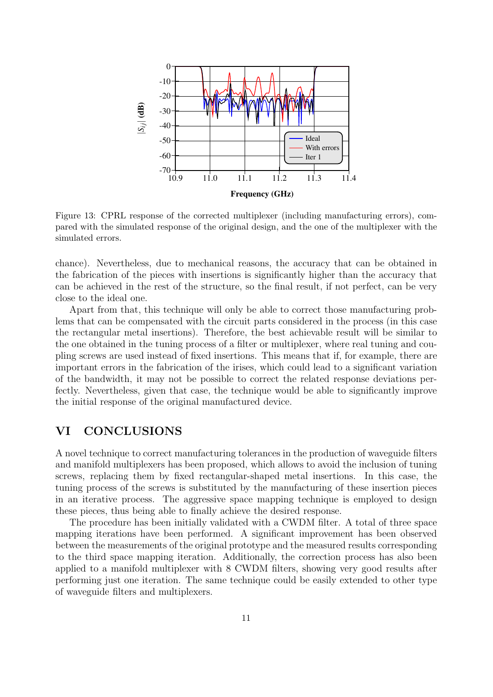

Figure 13: CPRL response of the corrected multiplexer (including manufacturing errors), compared with the simulated response of the original design, and the one of the multiplexer with the simulated errors.

chance). Nevertheless, due to mechanical reasons, the accuracy that can be obtained in the fabrication of the pieces with insertions is significantly higher than the accuracy that can be achieved in the rest of the structure, so the final result, if not perfect, can be very close to the ideal one.

Apart from that, this technique will only be able to correct those manufacturing problems that can be compensated with the circuit parts considered in the process (in this case the rectangular metal insertions). Therefore, the best achievable result will be similar to the one obtained in the tuning process of a filter or multiplexer, where real tuning and coupling screws are used instead of fixed insertions. This means that if, for example, there are important errors in the fabrication of the irises, which could lead to a significant variation of the bandwidth, it may not be possible to correct the related response deviations perfectly. Nevertheless, given that case, the technique would be able to significantly improve the initial response of the original manufactured device.

# VI CONCLUSIONS

A novel technique to correct manufacturing tolerances in the production of waveguide filters and manifold multiplexers has been proposed, which allows to avoid the inclusion of tuning screws, replacing them by fixed rectangular-shaped metal insertions. In this case, the tuning process of the screws is substituted by the manufacturing of these insertion pieces in an iterative process. The aggressive space mapping technique is employed to design these pieces, thus being able to finally achieve the desired response.

The procedure has been initially validated with a CWDM filter. A total of three space mapping iterations have been performed. A significant improvement has been observed between the measurements of the original prototype and the measured results corresponding to the third space mapping iteration. Additionally, the correction process has also been applied to a manifold multiplexer with 8 CWDM filters, showing very good results after performing just one iteration. The same technique could be easily extended to other type of waveguide filters and multiplexers.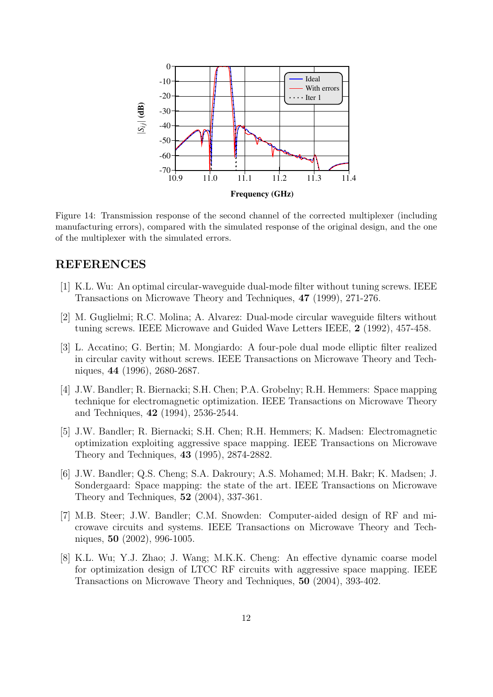

Figure 14: Transmission response of the second channel of the corrected multiplexer (including manufacturing errors), compared with the simulated response of the original design, and the one of the multiplexer with the simulated errors.

### REFERENCES

- [1] K.L. Wu: An optimal circular-waveguide dual-mode filter without tuning screws. IEEE Transactions on Microwave Theory and Techniques, 47 (1999), 271-276.
- [2] M. Guglielmi; R.C. Molina; A. Alvarez: Dual-mode circular waveguide filters without tuning screws. IEEE Microwave and Guided Wave Letters IEEE, 2 (1992), 457-458.
- [3] L. Accatino; G. Bertin; M. Mongiardo: A four-pole dual mode elliptic filter realized in circular cavity without screws. IEEE Transactions on Microwave Theory and Techniques, 44 (1996), 2680-2687.
- [4] J.W. Bandler; R. Biernacki; S.H. Chen; P.A. Grobelny; R.H. Hemmers: Space mapping technique for electromagnetic optimization. IEEE Transactions on Microwave Theory and Techniques, 42 (1994), 2536-2544.
- [5] J.W. Bandler; R. Biernacki; S.H. Chen; R.H. Hemmers; K. Madsen: Electromagnetic optimization exploiting aggressive space mapping. IEEE Transactions on Microwave Theory and Techniques, 43 (1995), 2874-2882.
- [6] J.W. Bandler; Q.S. Cheng; S.A. Dakroury; A.S. Mohamed; M.H. Bakr; K. Madsen; J. Sondergaard: Space mapping: the state of the art. IEEE Transactions on Microwave Theory and Techniques, 52 (2004), 337-361.
- [7] M.B. Steer; J.W. Bandler; C.M. Snowden: Computer-aided design of RF and microwave circuits and systems. IEEE Transactions on Microwave Theory and Techniques, 50 (2002), 996-1005.
- [8] K.L. Wu; Y.J. Zhao; J. Wang; M.K.K. Cheng: An effective dynamic coarse model for optimization design of LTCC RF circuits with aggressive space mapping. IEEE Transactions on Microwave Theory and Techniques, 50 (2004), 393-402.